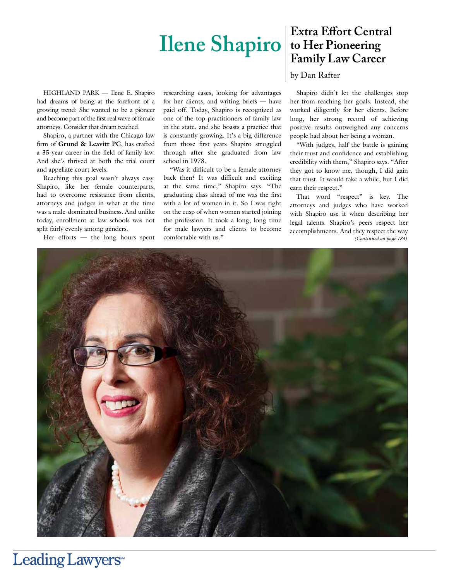# **Ilene Shapiro** to Her Pioneering

HIGHLAND PARK — Ilene E. Shapiro had dreams of being at the forefront of a growing trend: She wanted to be a pioneer and become part of the first real wave of female attorneys. Consider that dream reached.

Shapiro, a partner with the Chicago law firm of **Grund & Leavitt PC**, has crafted a 35-year career in the field of family law. And she's thrived at both the trial court and appellate court levels.

Reaching this goal wasn't always easy. Shapiro, like her female counterparts, had to overcome resistance from clients, attorneys and judges in what at the time was a male-dominated business. And unlike today, enrollment at law schools was not split fairly evenly among genders.

Her efforts — the long hours spent

researching cases, looking for advantages for her clients, and writing briefs — have paid off. Today, Shapiro is recognized as one of the top practitioners of family law in the state, and she boasts a practice that is constantly growing. It's a big difference from those first years Shapiro struggled through after she graduated from law school in 1978.

"Was it difficult to be a female attorney back then? It was difficult and exciting at the same time," Shapiro says. "The graduating class ahead of me was the first with a lot of women in it. So I was right on the cusp of when women started joining the profession. It took a long, long time for male lawyers and clients to become comfortable with us."

# **Extra Effort Central Family Law Career**

by Dan Rafter

Shapiro didn't let the challenges stop her from reaching her goals. Instead, she worked diligently for her clients. Before long, her strong record of achieving positive results outweighed any concerns people had about her being a woman.

"With judges, half the battle is gaining their trust and confidence and establishing credibility with them," Shapiro says. "After they got to know me, though, I did gain that trust. It would take a while, but I did earn their respect."

That word "respect" is key. The attorneys and judges who have worked with Shapiro use it when describing her legal talents. Shapiro's peers respect her accomplishments. And they respect the way *(Continued on page 184)*



# Leading Lawyers<sup>®</sup>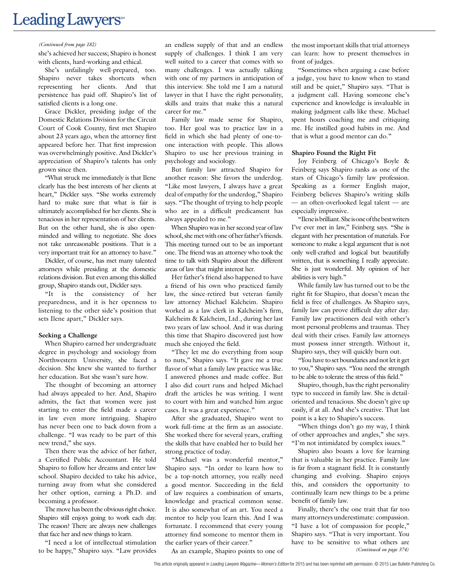# Leading Lawyers<sup>®</sup>

#### *(Continued from page 182)*

she's achieved her success; Shapiro is honest with clients, hard-working and ethical.

She's unfailingly well-prepared, too. Shapiro never takes shortcuts when representing her clients. And that persistence has paid off. Shapiro's list of satisfied clients is a long one.

Grace Dickler, presiding judge of the Domestic Relations Division for the Circuit Court of Cook County, first met Shapiro about 23 years ago, when the attorney first appeared before her. That first impression was overwhelmingly positive. And Dickler's appreciation of Shapiro's talents has only grown since then.

"What struck me immediately is that Ilene clearly has the best interests of her clients at heart," Dickler says. "She works extremely hard to make sure that what is fair is ultimately accomplished for her clients. She is tenacious in her representation of her clients. But on the other hand, she is also openminded and willing to negotiate. She does not take unreasonable positions. That is a very important trait for an attorney to have."

Dickler, of course, has met many talented attorneys while presiding at the domestic relations division. But even among this skilled group, Shapiro stands out, Dickler says.

"It is the consistency of her preparedness, and it is her openness to listening to the other side's position that sets Ilene apart," Dickler says.

#### **Seeking a Challenge**

When Shapiro earned her undergraduate degree in psychology and sociology from Northwestern University, she faced a decision. She knew she wanted to further her education. But she wasn't sure how.

The thought of becoming an attorney had always appealed to her. And, Shapiro admits, the fact that women were just starting to enter the field made a career in law even more intriguing. Shapiro has never been one to back down from a challenge. "I was ready to be part of this new trend," she says.

Then there was the advice of her father, a Certified Public Accountant. He told Shapiro to follow her dreams and enter law school. Shapiro decided to take his advice, turning away from what she considered her other option, earning a Ph.D. and becoming a professor.

The move has been the obvious right choice. Shapiro still enjoys going to work each day. The reason? There are always new challenges that face her and new things to learn.

"I need a lot of intellectual stimulation to be happy," Shapiro says. "Law provides

an endless supply of that and an endless supply of challenges. I think I am very well suited to a career that comes with so many challenges. I was actually talking with one of my partners in anticipation of this interview. She told me I am a natural lawyer in that I have the right personality, skills and traits that make this a natural career for me."

Family law made sense for Shapiro, too. Her goal was to practice law in a field in which she had plenty of one-toone interaction with people. This allows Shapiro to use her previous training in psychology and sociology.

But family law attracted Shapiro for another reason: She favors the underdog. "Like most lawyers, I always have a great deal of empathy for the underdog," Shapiro says. "The thought of trying to help people who are in a difficult predicament has always appealed to me."

When Shapiro was in her second year of law school, she met with one of her father's friends. This meeting turned out to be an important one. The friend was an attorney who took the time to talk with Shapiro about the different areas of law that might interest her.

Her father's friend also happened to have a friend of his own who practiced family law, the since-retired but veteran family law attorney Michael Kalcheim. Shapiro worked as a law clerk in Kalcheim's firm, Kalcheim & Kalcheim, Ltd., during her last two years of law school. And it was during this time that Shapiro discovered just how much she enjoyed the field.

"They let me do everything from soup to nuts," Shapiro says. "It gave me a true flavor of what a family law practice was like. I answered phones and made coffee. But I also did court runs and helped Michael draft the articles he was writing. I went to court with him and watched him argue cases. It was a great experience."

After she graduated, Shapiro went to work full-time at the firm as an associate. She worked there for several years, crafting the skills that have enabled her to build her strong practice of today.

"Michael was a wonderful mentor," Shapiro says. "In order to learn how to be a top-notch attorney, you really need a good mentor. Succeeding in the field of law requires a combination of smarts, knowledge and practical common sense. It is also somewhat of an art. You need a mentor to help you learn this. And I was fortunate. I recommend that every young attorney find someone to mentor them in the earlier years of their career."

As an example, Shapiro points to one of

the most important skills that trial attorneys can learn: how to present themselves in front of judges.

"Sometimes when arguing a case before a judge, you have to know when to stand still and be quiet," Shapiro says. "That is a judgment call. Having someone else's experience and knowledge is invaluable in making judgment calls like these. Michael spent hours coaching me and critiquing me. He instilled good habits in me. And that is what a good mentor can do."

#### **Shapiro Found the Right Fit**

Joy Feinberg of Chicago's Boyle & Feinberg says Shapiro ranks as one of the stars of Chicago's family law profession. Speaking as a former English major, Feinberg believes Shapiro's writing skills — an often-overlooked legal talent — are especially impressive.

"Ilene is brilliant. She is one of the best writers I've ever met in law," Feinberg says. "She is elegant with her presentation of materials. For someone to make a legal argument that is not only well-crafted and logical but beautifully written, that is something I really appreciate. She is just wonderful. My opinion of her abilities is very high."

While family law has turned out to be the right fit for Shapiro, that doesn't mean the field is free of challenges. As Shapiro says, family law can prove difficult day after day. Family law practitioners deal with other's most personal problems and traumas. They deal with their crises. Family law attorneys must possess inner strength. Without it, Shapiro says, they will quickly burn out.

"You have to set boundaries and not let it get to you," Shapiro says. "You need the strength to be able to tolerate the stress of this field."

Shapiro, though, has the right personality type to succeed in family law. She is detailoriented and tenacious. She doesn't give up easily, if at all. And she's creative. That last point is a key to Shapiro's success.

"When things don't go my way, I think of other approaches and angles," she says. "I'm not intimidated by complex issues."

Shapiro also boasts a love for learning that is valuable in her practice. Family law is far from a stagnant field. It is constantly changing and evolving. Shapiro enjoys this, and considers the opportunity to continually learn new things to be a prime benefit of family law.

Finally, there's the one trait that far too many attorneys underestimate: compassion. "I have a lot of compassion for people," Shapiro says. "That is very important. You have to be sensitive to what others are *(Continued on page 374)*